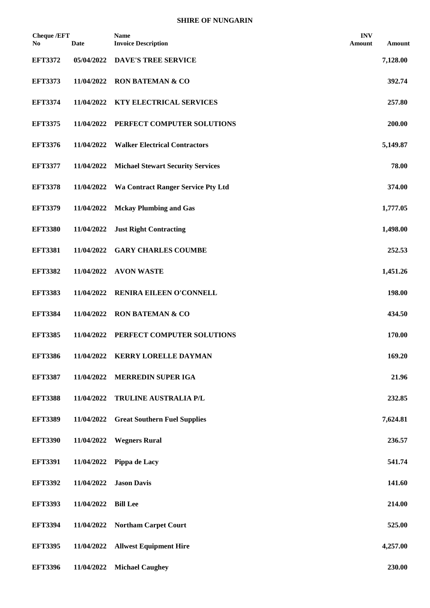| <b>Cheque /EFT</b><br>No. | <b>Date</b> | <b>Name</b><br><b>Invoice Description</b> | <b>INV</b><br>Amount | Amount   |
|---------------------------|-------------|-------------------------------------------|----------------------|----------|
| <b>EFT3372</b>            | 05/04/2022  | <b>DAVE'S TREE SERVICE</b>                |                      | 7,128.00 |
| <b>EFT3373</b>            | 11/04/2022  | <b>RON BATEMAN &amp; CO</b>               |                      | 392.74   |
| <b>EFT3374</b>            | 11/04/2022  | <b>KTY ELECTRICAL SERVICES</b>            |                      | 257.80   |
| <b>EFT3375</b>            | 11/04/2022  | PERFECT COMPUTER SOLUTIONS                |                      | 200.00   |
| <b>EFT3376</b>            | 11/04/2022  | <b>Walker Electrical Contractors</b>      |                      | 5,149.87 |
| <b>EFT3377</b>            | 11/04/2022  | <b>Michael Stewart Security Services</b>  |                      | 78.00    |
| <b>EFT3378</b>            | 11/04/2022  | <b>Wa Contract Ranger Service Pty Ltd</b> |                      | 374.00   |
| <b>EFT3379</b>            | 11/04/2022  | <b>Mckay Plumbing and Gas</b>             |                      | 1,777.05 |
| <b>EFT3380</b>            | 11/04/2022  | <b>Just Right Contracting</b>             |                      | 1,498.00 |
| <b>EFT3381</b>            | 11/04/2022  | <b>GARY CHARLES COUMBE</b>                |                      | 252.53   |
| <b>EFT3382</b>            | 11/04/2022  | <b>AVON WASTE</b>                         |                      | 1,451.26 |
| <b>EFT3383</b>            | 11/04/2022  | RENIRA EILEEN O'CONNELL                   |                      | 198.00   |
| <b>EFT3384</b>            | 11/04/2022  | <b>RON BATEMAN &amp; CO</b>               |                      | 434.50   |
| <b>EFT3385</b>            | 11/04/2022  | PERFECT COMPUTER SOLUTIONS                |                      | 170.00   |
| <b>EFT3386</b>            | 11/04/2022  | <b>KERRY LORELLE DAYMAN</b>               |                      | 169.20   |
| <b>EFT3387</b>            | 11/04/2022  | <b>MERREDIN SUPER IGA</b>                 |                      | 21.96    |
| <b>EFT3388</b>            | 11/04/2022  | TRULINE AUSTRALIA P/L                     |                      | 232.85   |
| <b>EFT3389</b>            | 11/04/2022  | <b>Great Southern Fuel Supplies</b>       |                      | 7,624.81 |
| <b>EFT3390</b>            | 11/04/2022  | <b>Wegners Rural</b>                      |                      | 236.57   |
| <b>EFT3391</b>            | 11/04/2022  | Pippa de Lacy                             |                      | 541.74   |
| <b>EFT3392</b>            | 11/04/2022  | <b>Jason Davis</b>                        |                      | 141.60   |
| <b>EFT3393</b>            | 11/04/2022  | <b>Bill Lee</b>                           |                      | 214.00   |
| <b>EFT3394</b>            | 11/04/2022  | <b>Northam Carpet Court</b>               |                      | 525.00   |
| <b>EFT3395</b>            | 11/04/2022  | <b>Allwest Equipment Hire</b>             |                      | 4,257.00 |
| <b>EFT3396</b>            | 11/04/2022  | <b>Michael Caughey</b>                    |                      | 230.00   |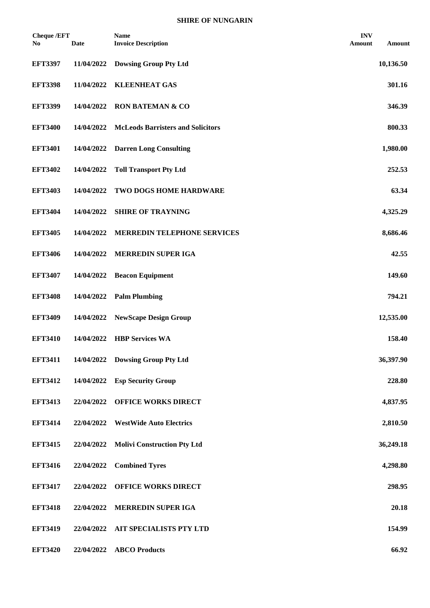| <b>Cheque /EFT</b><br>No | Date       | <b>Name</b><br><b>Invoice Description</b> | <b>INV</b><br>Amount | Amount    |
|--------------------------|------------|-------------------------------------------|----------------------|-----------|
| <b>EFT3397</b>           | 11/04/2022 | <b>Dowsing Group Pty Ltd</b>              |                      | 10,136.50 |
| <b>EFT3398</b>           | 11/04/2022 | <b>KLEENHEAT GAS</b>                      |                      | 301.16    |
| <b>EFT3399</b>           | 14/04/2022 | <b>RON BATEMAN &amp; CO</b>               |                      | 346.39    |
| <b>EFT3400</b>           | 14/04/2022 | <b>McLeods Barristers and Solicitors</b>  |                      | 800.33    |
| <b>EFT3401</b>           | 14/04/2022 | <b>Darren Long Consulting</b>             |                      | 1,980.00  |
| <b>EFT3402</b>           | 14/04/2022 | <b>Toll Transport Pty Ltd</b>             |                      | 252.53    |
| <b>EFT3403</b>           | 14/04/2022 | TWO DOGS HOME HARDWARE                    |                      | 63.34     |
| <b>EFT3404</b>           | 14/04/2022 | <b>SHIRE OF TRAYNING</b>                  |                      | 4,325.29  |
| <b>EFT3405</b>           | 14/04/2022 | <b>MERREDIN TELEPHONE SERVICES</b>        |                      | 8,686.46  |
| <b>EFT3406</b>           | 14/04/2022 | MERREDIN SUPER IGA                        |                      | 42.55     |
| <b>EFT3407</b>           | 14/04/2022 | <b>Beacon Equipment</b>                   |                      | 149.60    |
| <b>EFT3408</b>           | 14/04/2022 | <b>Palm Plumbing</b>                      |                      | 794.21    |
| <b>EFT3409</b>           | 14/04/2022 | <b>NewScape Design Group</b>              |                      | 12,535.00 |
| <b>EFT3410</b>           | 14/04/2022 | <b>HBP Services WA</b>                    |                      | 158.40    |
| <b>EFT3411</b>           |            | 14/04/2022 Dowsing Group Pty Ltd          |                      | 36,397.90 |
| <b>EFT3412</b>           | 14/04/2022 | <b>Esp Security Group</b>                 |                      | 228.80    |
| <b>EFT3413</b>           | 22/04/2022 | <b>OFFICE WORKS DIRECT</b>                |                      | 4,837.95  |
| <b>EFT3414</b>           | 22/04/2022 | <b>WestWide Auto Electrics</b>            |                      | 2,810.50  |
| <b>EFT3415</b>           | 22/04/2022 | <b>Molivi Construction Pty Ltd</b>        |                      | 36,249.18 |
| <b>EFT3416</b>           | 22/04/2022 | <b>Combined Tyres</b>                     |                      | 4,298.80  |
| <b>EFT3417</b>           | 22/04/2022 | <b>OFFICE WORKS DIRECT</b>                |                      | 298.95    |
| <b>EFT3418</b>           | 22/04/2022 | MERREDIN SUPER IGA                        |                      | 20.18     |
| <b>EFT3419</b>           | 22/04/2022 | AIT SPECIALISTS PTY LTD                   |                      | 154.99    |
| <b>EFT3420</b>           | 22/04/2022 | <b>ABCO Products</b>                      |                      | 66.92     |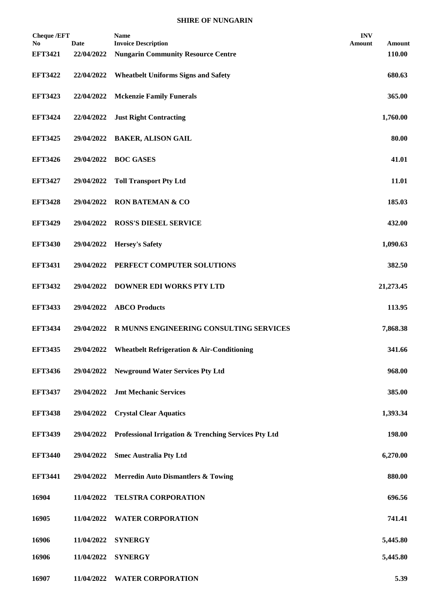| <b>Cheque /EFT</b><br>No. | <b>Date</b> | <b>Name</b><br><b>Invoice Description</b>             | <b>INV</b><br>Amount<br>Amount |
|---------------------------|-------------|-------------------------------------------------------|--------------------------------|
| <b>EFT3421</b>            | 22/04/2022  | <b>Nungarin Community Resource Centre</b>             | 110.00                         |
| <b>EFT3422</b>            | 22/04/2022  | <b>Wheatbelt Uniforms Signs and Safety</b>            | 680.63                         |
| <b>EFT3423</b>            | 22/04/2022  | <b>Mckenzie Family Funerals</b>                       | 365.00                         |
| <b>EFT3424</b>            | 22/04/2022  | <b>Just Right Contracting</b>                         | 1,760.00                       |
| <b>EFT3425</b>            | 29/04/2022  | <b>BAKER, ALISON GAIL</b>                             | 80.00                          |
| <b>EFT3426</b>            | 29/04/2022  | <b>BOC GASES</b>                                      | 41.01                          |
| <b>EFT3427</b>            | 29/04/2022  | <b>Toll Transport Pty Ltd</b>                         | 11.01                          |
| <b>EFT3428</b>            | 29/04/2022  | <b>RON BATEMAN &amp; CO</b>                           | 185.03                         |
| <b>EFT3429</b>            | 29/04/2022  | <b>ROSS'S DIESEL SERVICE</b>                          | 432.00                         |
| <b>EFT3430</b>            | 29/04/2022  | <b>Hersey's Safety</b>                                | 1,090.63                       |
| <b>EFT3431</b>            | 29/04/2022  | PERFECT COMPUTER SOLUTIONS                            | 382.50                         |
| <b>EFT3432</b>            | 29/04/2022  | <b>DOWNER EDI WORKS PTY LTD</b>                       | 21,273.45                      |
| <b>EFT3433</b>            | 29/04/2022  | <b>ABCO</b> Products                                  | 113.95                         |
| <b>EFT3434</b>            | 29/04/2022  | R MUNNS ENGINEERING CONSULTING SERVICES               | 7,868.38                       |
| <b>EFT3435</b>            | 29/04/2022  | <b>Wheatbelt Refrigeration &amp; Air-Conditioning</b> | 341.66                         |
| <b>EFT3436</b>            | 29/04/2022  | <b>Newground Water Services Pty Ltd</b>               | 968.00                         |
| <b>EFT3437</b>            | 29/04/2022  | <b>Jmt Mechanic Services</b>                          | 385.00                         |
| <b>EFT3438</b>            | 29/04/2022  | <b>Crystal Clear Aquatics</b>                         | 1,393.34                       |
| <b>EFT3439</b>            | 29/04/2022  | Professional Irrigation & Trenching Services Pty Ltd  | 198.00                         |
| <b>EFT3440</b>            | 29/04/2022  | <b>Smec Australia Pty Ltd</b>                         | 6,270.00                       |
| <b>EFT3441</b>            | 29/04/2022  | <b>Merredin Auto Dismantlers &amp; Towing</b>         | 880.00                         |
| 16904                     | 11/04/2022  | <b>TELSTRA CORPORATION</b>                            | 696.56                         |
| 16905                     | 11/04/2022  | <b>WATER CORPORATION</b>                              | 741.41                         |
| 16906                     | 11/04/2022  | <b>SYNERGY</b>                                        | 5,445.80                       |
| 16906                     | 11/04/2022  | <b>SYNERGY</b>                                        | 5,445.80                       |
| 16907                     | 11/04/2022  | <b>WATER CORPORATION</b>                              | 5.39                           |